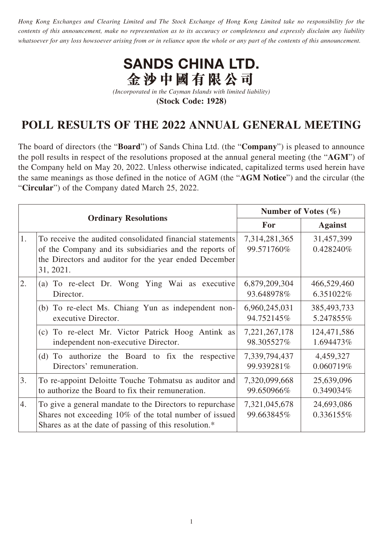*Hong Kong Exchanges and Clearing Limited and The Stock Exchange of Hong Kong Limited take no responsibility for the contents of this announcement, make no representation as to its accuracy or completeness and expressly disclaim any liability whatsoever for any loss howsoever arising from or in reliance upon the whole or any part of the contents of this announcement.*



*(Incorporated in the Cayman Islands with limited liability)* **(Stock Code: 1928)**

## **POLL RESULTS OF THE 2022 ANNUAL GENERAL MEETING**

The board of directors (the "**Board**") of Sands China Ltd. (the "**Company**") is pleased to announce the poll results in respect of the resolutions proposed at the annual general meeting (the "**AGM**") of the Company held on May 20, 2022. Unless otherwise indicated, capitalized terms used herein have the same meanings as those defined in the notice of AGM (the "**AGM Notice**") and the circular (the "**Circular**") of the Company dated March 25, 2022.

|                             |                                                                                                                                                                                          | Number of Votes $(\% )$     |                            |
|-----------------------------|------------------------------------------------------------------------------------------------------------------------------------------------------------------------------------------|-----------------------------|----------------------------|
| <b>Ordinary Resolutions</b> |                                                                                                                                                                                          | For                         | <b>Against</b>             |
| 1.                          | To receive the audited consolidated financial statements<br>of the Company and its subsidiaries and the reports of<br>the Directors and auditor for the year ended December<br>31, 2021. | 7,314,281,365<br>99.571760% | 31,457,399<br>0.428240%    |
| 2.                          | (a) To re-elect Dr. Wong Ying Wai as executive<br>Director.                                                                                                                              | 6,879,209,304<br>93.648978% | 466,529,460<br>6.351022%   |
|                             | (b) To re-elect Ms. Chiang Yun as independent non-<br>executive Director.                                                                                                                | 6,960,245,031<br>94.752145% | 385, 493, 733<br>5.247855% |
|                             | (c) To re-elect Mr. Victor Patrick Hoog Antink as<br>independent non-executive Director.                                                                                                 | 7,221,267,178<br>98.305527% | 124,471,586<br>1.694473%   |
|                             | (d) To authorize the Board to fix the respective<br>Directors' remuneration.                                                                                                             | 7,339,794,437<br>99.939281% | 4,459,327<br>0.060719%     |
| 3.                          | To re-appoint Deloitte Touche Tohmatsu as auditor and<br>to authorize the Board to fix their remuneration.                                                                               | 7,320,099,668<br>99.650966% | 25,639,096<br>0.349034%    |
| 4.                          | To give a general mandate to the Directors to repurchase<br>Shares not exceeding 10% of the total number of issued<br>Shares as at the date of passing of this resolution.*              | 7,321,045,678<br>99.663845% | 24,693,086<br>0.336155%    |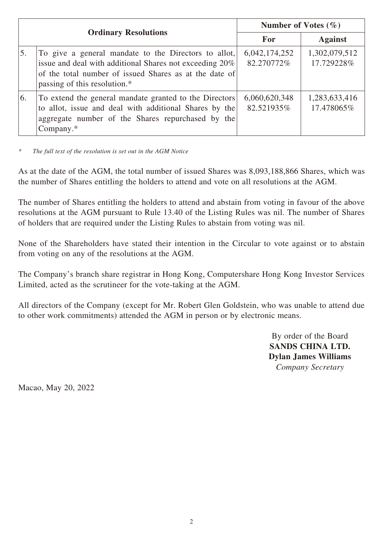| <b>Ordinary Resolutions</b> |                                                                                                                                                                                                           | Number of Votes $(\% )$     |                             |
|-----------------------------|-----------------------------------------------------------------------------------------------------------------------------------------------------------------------------------------------------------|-----------------------------|-----------------------------|
|                             |                                                                                                                                                                                                           | For                         | <b>Against</b>              |
| 5.                          | To give a general mandate to the Directors to allot,<br>issue and deal with additional Shares not exceeding 20%<br>of the total number of issued Shares as at the date of<br>passing of this resolution.* | 6,042,174,252<br>82.270772% | 1,302,079,512<br>17.729228% |
| 6.                          | To extend the general mandate granted to the Directors<br>to allot, issue and deal with additional Shares by the<br>aggregate number of the Shares repurchased by the<br>Company. $*$                     | 6,060,620,348<br>82.521935% | 1,283,633,416<br>17.478065% |

*\* The full text of the resolution is set out in the AGM Notice*

As at the date of the AGM, the total number of issued Shares was 8,093,188,866 Shares, which was the number of Shares entitling the holders to attend and vote on all resolutions at the AGM.

The number of Shares entitling the holders to attend and abstain from voting in favour of the above resolutions at the AGM pursuant to Rule 13.40 of the Listing Rules was nil. The number of Shares of holders that are required under the Listing Rules to abstain from voting was nil.

None of the Shareholders have stated their intention in the Circular to vote against or to abstain from voting on any of the resolutions at the AGM.

The Company's branch share registrar in Hong Kong, Computershare Hong Kong Investor Services Limited, acted as the scrutineer for the vote-taking at the AGM.

All directors of the Company (except for Mr. Robert Glen Goldstein, who was unable to attend due to other work commitments) attended the AGM in person or by electronic means.

> By order of the Board **SANDS CHINA LTD. Dylan James Williams** *Company Secretary*

Macao, May 20, 2022